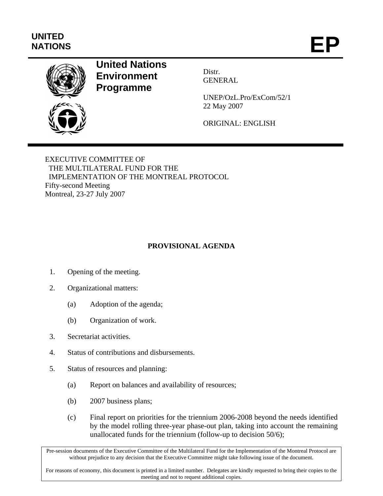## **UNITED**  UNITED<br>NATIONS **EP**



## **United Nations Environment Programme**

Distr. GENERAL

UNEP/OzL.Pro/ExCom/52/1 22 May 2007

ORIGINAL: ENGLISH

EXECUTIVE COMMITTEE OF THE MULTILATERAL FUND FOR THE IMPLEMENTATION OF THE MONTREAL PROTOCOL Fifty-second Meeting Montreal, 23-27 July 2007

## **PROVISIONAL AGENDA**

- 1. Opening of the meeting.
- 2. Organizational matters:
	- (a) Adoption of the agenda;
	- (b) Organization of work.
- 3. Secretariat activities.
- 4. Status of contributions and disbursements.
- 5. Status of resources and planning:
	- (a) Report on balances and availability of resources;
	- (b) 2007 business plans;
	- (c) Final report on priorities for the triennium 2006-2008 beyond the needs identified by the model rolling three-year phase-out plan, taking into account the remaining unallocated funds for the triennium (follow-up to decision 50/6);

Pre-session documents of the Executive Committee of the Multilateral Fund for the Implementation of the Montreal Protocol are without prejudice to any decision that the Executive Committee might take following issue of the document.

For reasons of economy, this document is printed in a limited number. Delegates are kindly requested to bring their copies to the meeting and not to request additional copies.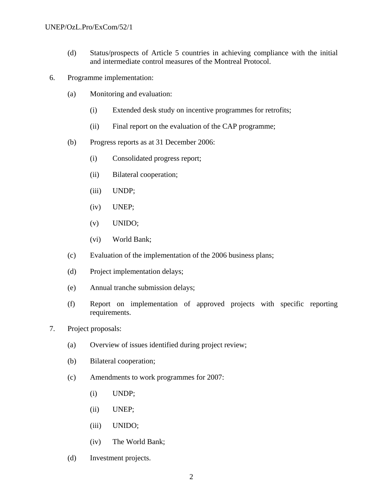- (d) Status/prospects of Article 5 countries in achieving compliance with the initial and intermediate control measures of the Montreal Protocol.
- 6. Programme implementation:
	- (a) Monitoring and evaluation:
		- (i) Extended desk study on incentive programmes for retrofits;
		- (ii) Final report on the evaluation of the CAP programme;
	- (b) Progress reports as at 31 December 2006:
		- (i) Consolidated progress report;
		- (ii) Bilateral cooperation;
		- (iii) UNDP;
		- (iv) UNEP;
		- (v) UNIDO;
		- (vi) World Bank;
	- (c) Evaluation of the implementation of the 2006 business plans;
	- (d) Project implementation delays;
	- (e) Annual tranche submission delays;
	- (f) Report on implementation of approved projects with specific reporting requirements.
- 7. Project proposals:
	- (a) Overview of issues identified during project review;
	- (b) Bilateral cooperation;
	- (c) Amendments to work programmes for 2007:
		- (i) UNDP;
		- (ii) UNEP;
		- (iii) UNIDO;
		- (iv) The World Bank;
	- (d) Investment projects.